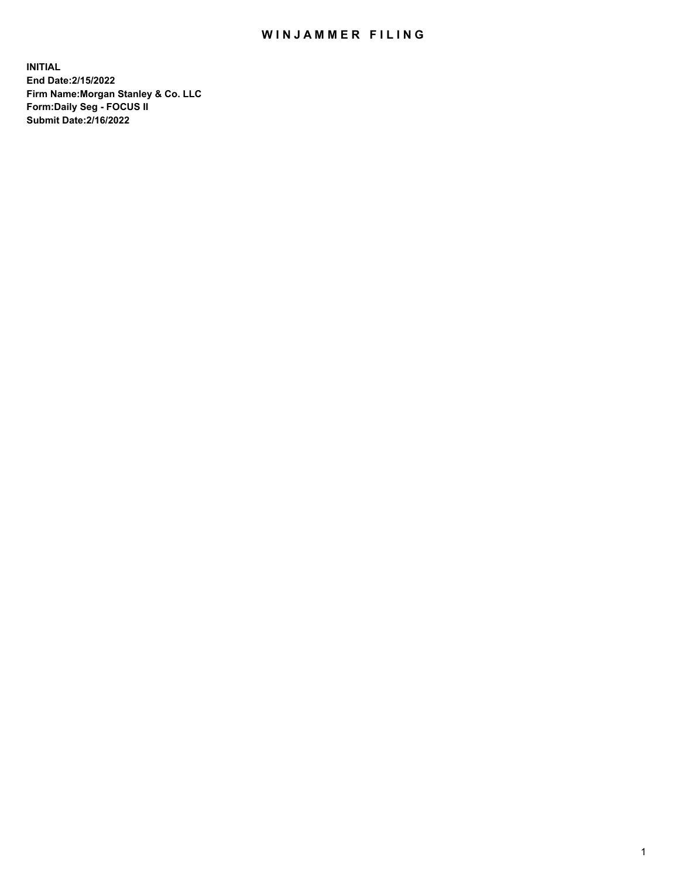## WIN JAMMER FILING

**INITIAL End Date:2/15/2022 Firm Name:Morgan Stanley & Co. LLC Form:Daily Seg - FOCUS II Submit Date:2/16/2022**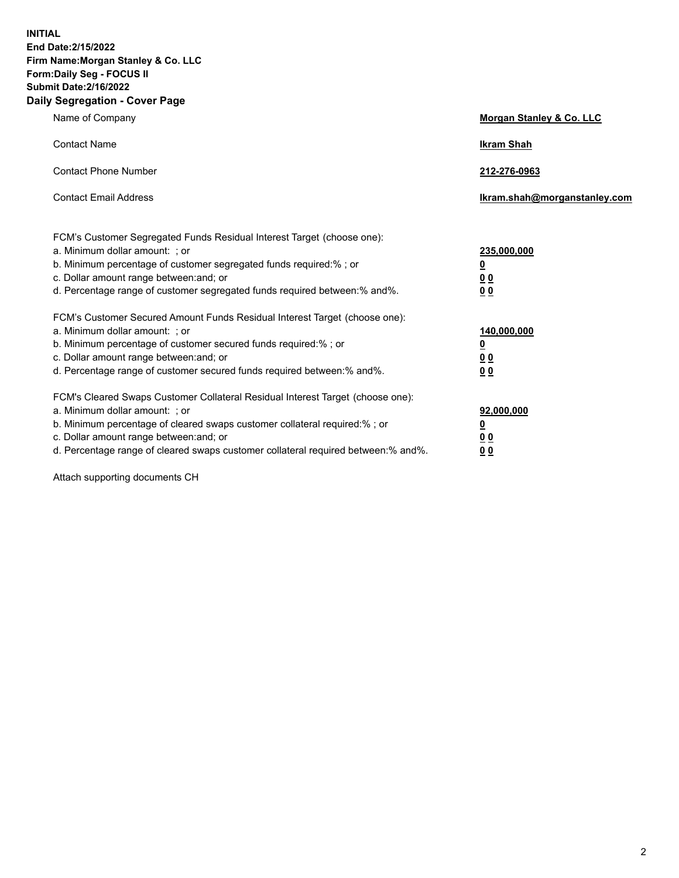**INITIAL End Date:2/15/2022 Firm Name:Morgan Stanley & Co. LLC Form:Daily Seg - FOCUS II Submit Date:2/16/2022 Daily Segregation - Cover Page**

| Name of Company                                                                                                                                                                                                                                                                                                                | <b>Morgan Stanley &amp; Co. LLC</b>                    |
|--------------------------------------------------------------------------------------------------------------------------------------------------------------------------------------------------------------------------------------------------------------------------------------------------------------------------------|--------------------------------------------------------|
| <b>Contact Name</b>                                                                                                                                                                                                                                                                                                            | <b>Ikram Shah</b>                                      |
| <b>Contact Phone Number</b>                                                                                                                                                                                                                                                                                                    | 212-276-0963                                           |
| <b>Contact Email Address</b>                                                                                                                                                                                                                                                                                                   | Ikram.shah@morganstanley.com                           |
| FCM's Customer Segregated Funds Residual Interest Target (choose one):<br>a. Minimum dollar amount: : or<br>b. Minimum percentage of customer segregated funds required:%; or<br>c. Dollar amount range between: and; or<br>d. Percentage range of customer segregated funds required between:% and%.                          | 235,000,000<br><u>0</u><br><u>00</u><br><u>00</u>      |
| FCM's Customer Secured Amount Funds Residual Interest Target (choose one):<br>a. Minimum dollar amount: ; or<br>b. Minimum percentage of customer secured funds required:%; or<br>c. Dollar amount range between: and; or<br>d. Percentage range of customer secured funds required between:% and%.                            | 140,000,000<br><u>0</u><br><u>00</u><br>0 <sub>0</sub> |
| FCM's Cleared Swaps Customer Collateral Residual Interest Target (choose one):<br>a. Minimum dollar amount: ; or<br>b. Minimum percentage of cleared swaps customer collateral required:% ; or<br>c. Dollar amount range between: and; or<br>d. Percentage range of cleared swaps customer collateral required between:% and%. | 92,000,000<br><u>0</u><br><u>00</u><br>00              |

Attach supporting documents CH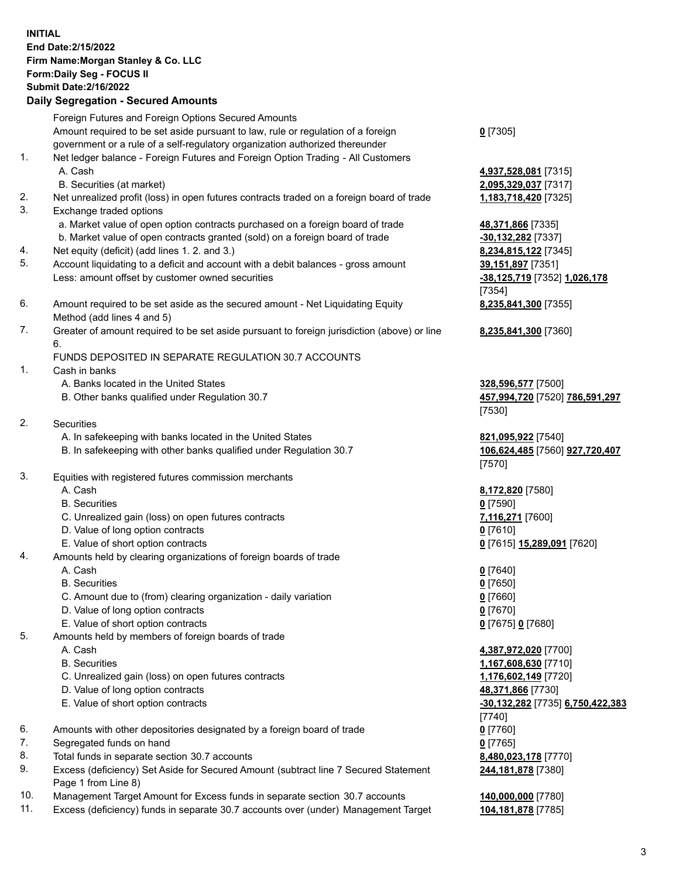## **INITIAL End Date:2/15/2022 Firm Name:Morgan Stanley & Co. LLC Form:Daily Seg - FOCUS II Submit Date:2/16/2022 Daily Segregation - Secured Amounts** Foreign Futures and Foreign Options Secured Amounts Amount required to be set aside pursuant to law, rule or regulation of a foreign government or a rule of a self-regulatory organization authorized thereunder **0** [7305] 1. Net ledger balance - Foreign Futures and Foreign Option Trading - All Customers A. Cash **4,937,528,081** [7315] B. Securities (at market) **2,095,329,037** [7317] 2. Net unrealized profit (loss) in open futures contracts traded on a foreign board of trade **1,183,718,420** [7325] 3. Exchange traded options a. Market value of open option contracts purchased on a foreign board of trade **48,371,866** [7335] b. Market value of open contracts granted (sold) on a foreign board of trade **-30,132,282** [7337] 4. Net equity (deficit) (add lines 1. 2. and 3.) **8,234,815,122** [7345] 5. Account liquidating to a deficit and account with a debit balances - gross amount **39,151,897** [7351] Less: amount offset by customer owned securities **-38,125,719** [7352] **1,026,178** [7354] 6. Amount required to be set aside as the secured amount - Net Liquidating Equity Method (add lines 4 and 5) **8,235,841,300** [7355] 7. Greater of amount required to be set aside pursuant to foreign jurisdiction (above) or line 6. **8,235,841,300** [7360] FUNDS DEPOSITED IN SEPARATE REGULATION 30.7 ACCOUNTS 1. Cash in banks A. Banks located in the United States **328,596,577** [7500] B. Other banks qualified under Regulation 30.7 **457,994,720** [7520] **786,591,297** [7530] 2. Securities A. In safekeeping with banks located in the United States **821,095,922** [7540] B. In safekeeping with other banks qualified under Regulation 30.7 **106,624,485** [7560] **927,720,407** [7570] 3. Equities with registered futures commission merchants A. Cash **8,172,820** [7580] B. Securities **0** [7590] C. Unrealized gain (loss) on open futures contracts **7,116,271** [7600] D. Value of long option contracts **0** [7610] E. Value of short option contracts **0** [7615] **15,289,091** [7620] 4. Amounts held by clearing organizations of foreign boards of trade A. Cash **0** [7640] B. Securities **0** [7650] C. Amount due to (from) clearing organization - daily variation **0** [7660] D. Value of long option contracts **0** [7670] E. Value of short option contracts **0** [7675] **0** [7680] 5. Amounts held by members of foreign boards of trade A. Cash **4,387,972,020** [7700] B. Securities **1,167,608,630** [7710] C. Unrealized gain (loss) on open futures contracts **1,176,602,149** [7720] D. Value of long option contracts **48,371,866** [7730] E. Value of short option contracts **-30,132,282** [7735] **6,750,422,383** [7740] 6. Amounts with other depositories designated by a foreign board of trade **0** [7760]

- 7. Segregated funds on hand **0** [7765]
- 8. Total funds in separate section 30.7 accounts **8,480,023,178** [7770]
- 9. Excess (deficiency) Set Aside for Secured Amount (subtract line 7 Secured Statement Page 1 from Line 8)
- 10. Management Target Amount for Excess funds in separate section 30.7 accounts **140,000,000** [7780]
- 11. Excess (deficiency) funds in separate 30.7 accounts over (under) Management Target **104,181,878** [7785]

**244,181,878** [7380]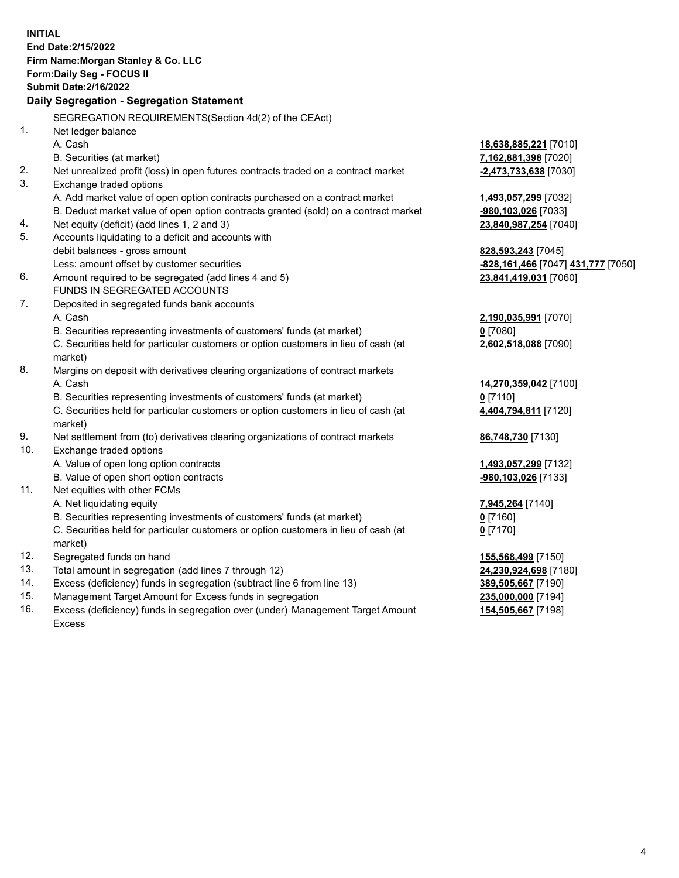**INITIAL End Date:2/15/2022 Firm Name:Morgan Stanley & Co. LLC Form:Daily Seg - FOCUS II Submit Date:2/16/2022 Daily Segregation - Segregation Statement** SEGREGATION REQUIREMENTS(Section 4d(2) of the CEAct) 1. Net ledger balance A. Cash **18,638,885,221** [7010] B. Securities (at market) **7,162,881,398** [7020] 2. Net unrealized profit (loss) in open futures contracts traded on a contract market **-2,473,733,638** [7030] 3. Exchange traded options A. Add market value of open option contracts purchased on a contract market **1,493,057,299** [7032] B. Deduct market value of open option contracts granted (sold) on a contract market **-980,103,026** [7033] 4. Net equity (deficit) (add lines 1, 2 and 3) **23,840,987,254** [7040] 5. Accounts liquidating to a deficit and accounts with debit balances - gross amount **828,593,243** [7045] Less: amount offset by customer securities **-828,161,466** [7047] **431,777** [7050] 6. Amount required to be segregated (add lines 4 and 5) **23,841,419,031** [7060] FUNDS IN SEGREGATED ACCOUNTS 7. Deposited in segregated funds bank accounts A. Cash **2,190,035,991** [7070] B. Securities representing investments of customers' funds (at market) **0** [7080] C. Securities held for particular customers or option customers in lieu of cash (at market) **2,602,518,088** [7090] 8. Margins on deposit with derivatives clearing organizations of contract markets A. Cash **14,270,359,042** [7100] B. Securities representing investments of customers' funds (at market) **0** [7110] C. Securities held for particular customers or option customers in lieu of cash (at market) **4,404,794,811** [7120] 9. Net settlement from (to) derivatives clearing organizations of contract markets **86,748,730** [7130] 10. Exchange traded options A. Value of open long option contracts **1,493,057,299** [7132] B. Value of open short option contracts **-980,103,026** [7133] 11. Net equities with other FCMs A. Net liquidating equity **7,945,264** [7140] B. Securities representing investments of customers' funds (at market) **0** [7160] C. Securities held for particular customers or option customers in lieu of cash (at market) **0** [7170] 12. Segregated funds on hand **155,568,499** [7150] 13. Total amount in segregation (add lines 7 through 12) **24,230,924,698** [7180] 14. Excess (deficiency) funds in segregation (subtract line 6 from line 13) **389,505,667** [7190] 15. Management Target Amount for Excess funds in segregation **235,000,000** [7194] **154,505,667** [7198]

16. Excess (deficiency) funds in segregation over (under) Management Target Amount Excess